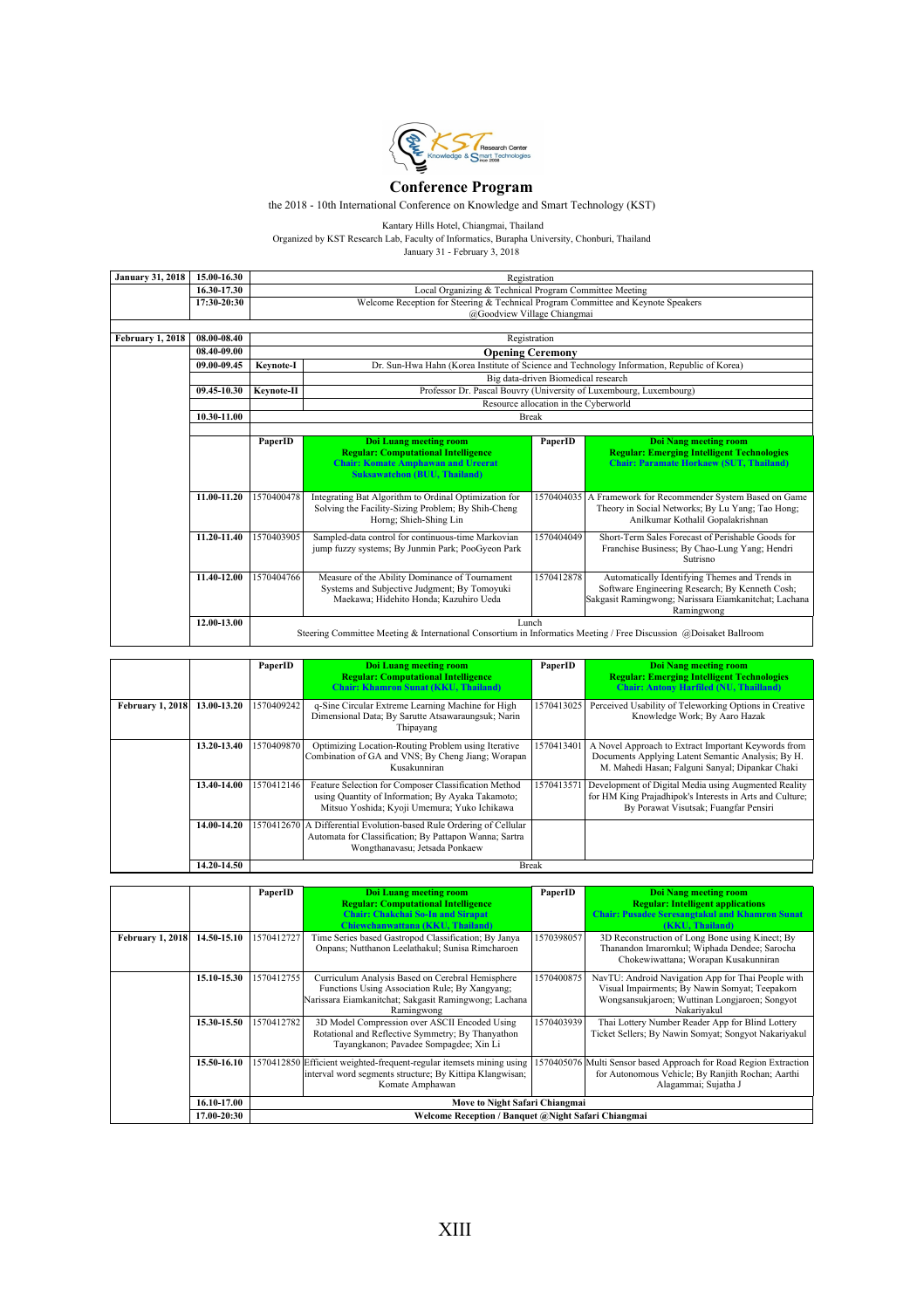

## **Conference Program**

the 2018 - 10th International Conference on Knowledge and Smart Technology (KST)

|                         | Kantary Hills Hotel, Chiangmai, Thailand                                                      |            |                                                                                                                       |                                     |                                                                                             |  |
|-------------------------|-----------------------------------------------------------------------------------------------|------------|-----------------------------------------------------------------------------------------------------------------------|-------------------------------------|---------------------------------------------------------------------------------------------|--|
|                         | Organized by KST Research Lab, Faculty of Informatics, Burapha University, Chonburi, Thailand |            |                                                                                                                       |                                     |                                                                                             |  |
|                         |                                                                                               |            | January 31 - February 3, 2018                                                                                         |                                     |                                                                                             |  |
|                         |                                                                                               |            |                                                                                                                       |                                     |                                                                                             |  |
| <b>January 31, 2018</b> | 15.00-16.30                                                                                   |            |                                                                                                                       | Registration                        |                                                                                             |  |
|                         | 16.30-17.30                                                                                   |            | Local Organizing & Technical Program Committee Meeting                                                                |                                     |                                                                                             |  |
|                         | 17:30-20:30                                                                                   |            | Welcome Reception for Steering & Technical Program Committee and Keynote Speakers                                     |                                     |                                                                                             |  |
|                         |                                                                                               |            | @Goodview Village Chiangmai                                                                                           |                                     |                                                                                             |  |
| February 1, 2018        | 08.00-08.40                                                                                   |            |                                                                                                                       | Registration                        |                                                                                             |  |
|                         | 08.40-09.00                                                                                   |            |                                                                                                                       | <b>Opening Ceremony</b>             |                                                                                             |  |
|                         | 09.00-09.45                                                                                   | Keynote-I  |                                                                                                                       |                                     | Dr. Sun-Hwa Hahn (Korea Institute of Science and Technology Information, Republic of Korea) |  |
|                         |                                                                                               |            |                                                                                                                       | Big data-driven Biomedical research |                                                                                             |  |
|                         | 09.45-10.30                                                                                   | Keynote-II |                                                                                                                       |                                     | Professor Dr. Pascal Bouvry (University of Luxembourg, Luxembourg)                          |  |
|                         |                                                                                               |            |                                                                                                                       |                                     |                                                                                             |  |
|                         | 10.30-11.00                                                                                   |            | Resource allocation in the Cyberworld<br><b>Break</b>                                                                 |                                     |                                                                                             |  |
|                         |                                                                                               |            |                                                                                                                       |                                     |                                                                                             |  |
|                         |                                                                                               | PaperID    | <b>Doi Luang meeting room</b>                                                                                         | PaperID                             | <b>Doi Nang meeting room</b>                                                                |  |
|                         |                                                                                               |            | <b>Regular: Computational Intelligence</b>                                                                            |                                     | <b>Regular: Emerging Intelligent Technologies</b>                                           |  |
|                         |                                                                                               |            | <b>Chair: Komate Amphawan and Ureerat</b>                                                                             |                                     | <b>Chair: Paramate Horkaew (SUT, Thailand)</b>                                              |  |
|                         |                                                                                               |            | <b>Suksawatchon (BUU, Thailand)</b>                                                                                   |                                     |                                                                                             |  |
|                         | 11.00-11.20                                                                                   |            |                                                                                                                       |                                     |                                                                                             |  |
|                         |                                                                                               | 1570400478 | Integrating Bat Algorithm to Ordinal Optimization for                                                                 |                                     | 1570404035 A Framework for Recommender System Based on Game                                 |  |
|                         |                                                                                               |            | Solving the Facility-Sizing Problem; By Shih-Cheng<br>Horng; Shieh-Shing Lin                                          |                                     | Theory in Social Networks; By Lu Yang; Tao Hong;<br>Anilkumar Kothalil Gopalakrishnan       |  |
|                         |                                                                                               |            |                                                                                                                       |                                     |                                                                                             |  |
|                         | 11.20-11.40                                                                                   | 1570403905 | Sampled-data control for continuous-time Markovian<br>Short-Term Sales Forecast of Perishable Goods for<br>1570404049 |                                     |                                                                                             |  |
|                         |                                                                                               |            | jump fuzzy systems; By Junmin Park; PooGyeon Park<br>Franchise Business; By Chao-Lung Yang; Hendri<br>Sutrisno        |                                     |                                                                                             |  |
|                         |                                                                                               |            |                                                                                                                       |                                     |                                                                                             |  |
|                         | 11.40-12.00                                                                                   | 1570404766 | Measure of the Ability Dominance of Tournament                                                                        | 1570412878                          | Automatically Identifying Themes and Trends in                                              |  |
|                         |                                                                                               |            | Systems and Subiective Judgment: By Tomovuki                                                                          |                                     | Software Engineering Research: By Kenneth Cosh:                                             |  |
|                         |                                                                                               |            | Maekawa: Hidehito Honda: Kazuhiro Ueda                                                                                |                                     | Sakgasit Ramingwong; Narissara Eiamkanitchat; Lachana<br>Ramingwong                         |  |
|                         |                                                                                               |            |                                                                                                                       |                                     |                                                                                             |  |
|                         |                                                                                               |            | Lunch                                                                                                                 |                                     |                                                                                             |  |
|                         | 12.00-13.00                                                                                   |            | Steering Committee Meeting & International Consortium in Informatics Meeting / Free Discussion @Doisaket Ballroom     |                                     |                                                                                             |  |

|                  |             | PaperID    | <b>Doi Luang meeting room</b><br><b>Regular: Computational Intelligence</b><br><b>Chair: Khamron Sunat (KKU, Thailand)</b>                                      | PaperID      | <b>Doi Nang meeting room</b><br><b>Regular: Emerging Intelligent Technologies</b><br><b>Chair: Antony Harfiled (NU, Thailland)</b>                           |
|------------------|-------------|------------|-----------------------------------------------------------------------------------------------------------------------------------------------------------------|--------------|--------------------------------------------------------------------------------------------------------------------------------------------------------------|
| February 1, 2018 | 13.00-13.20 | 1570409242 | q-Sine Circular Extreme Learning Machine for High<br>Dimensional Data; By Sarutte Atsawaraungsuk; Narin<br>Thipayang                                            | 1570413025   | Perceived Usability of Teleworking Options in Creative<br>Knowledge Work; By Aaro Hazak                                                                      |
|                  | 13.20-13.40 | 1570409870 | Optimizing Location-Routing Problem using Iterative<br>Combination of GA and VNS; By Cheng Jiang; Worapan<br>Kusakunniran                                       | 1570413401   | A Novel Approach to Extract Important Keywords from<br>Documents Applying Latent Semantic Analysis; By H.<br>M. Mahedi Hasan; Falguni Sanyal; Dipankar Chaki |
|                  | 13.40-14.00 | 1570412146 | Feature Selection for Composer Classification Method<br>using Quantity of Information; By Ayaka Takamoto;<br>Mitsuo Yoshida; Kyoji Umemura; Yuko Ichikawa       | 1570413571   | Development of Digital Media using Augmented Reality<br>for HM King Prajadhipok's Interests in Arts and Culture;<br>By Porawat Visutsak: Fuangfar Pensiri    |
|                  | 14.00-14.20 |            | 1570412670 A Differential Evolution-based Rule Ordering of Cellular<br>Automata for Classification; By Pattapon Wanna; Sartra<br>Wongthanavasu; Jetsada Ponkaew |              |                                                                                                                                                              |
|                  | 14.20-14.50 |            |                                                                                                                                                                 | <b>Break</b> |                                                                                                                                                              |

|             |                                | <b>Chair: Chakchai So-In and Sirapat</b><br>Chiewchanwattana (KKU, Thailand)                                                                 |                                                                                                                                                                                           | <b>Regular: Intelligent applications</b><br><b>Chair: Pusadee Seresangtakul and Khamron Sunat</b><br>(KKU, Thailand)                                                  |
|-------------|--------------------------------|----------------------------------------------------------------------------------------------------------------------------------------------|-------------------------------------------------------------------------------------------------------------------------------------------------------------------------------------------|-----------------------------------------------------------------------------------------------------------------------------------------------------------------------|
| 14.50-15.10 | 1570412727                     | Time Series based Gastropod Classification; By Janya<br>Onpans: Nutthanon Leelathakul: Sunisa Rimcharoen                                     | 1570398057                                                                                                                                                                                | 3D Reconstruction of Long Bone using Kinect; By<br>Thanandon Imaromkul; Wiphada Dendee; Sarocha<br>Chokewiwattana; Worapan Kusakunniran                               |
| 15.10-15.30 | 1570412755                     | Curriculum Analysis Based on Cerebral Hemisphere<br>Functions Using Association Rule; By Xangyang;<br>Ramingwong                             | 1570400875                                                                                                                                                                                | NavTU: Android Navigation App for Thai People with<br>Visual Impairments; By Nawin Somyat; Teepakorn<br>Wongsansukjaroen; Wuttinan Longjaroen; Songyot<br>Nakariyakul |
| 15.30-15.50 | 1570412782                     | 3D Model Compression over ASCII Encoded Using<br>Rotational and Reflective Symmetry; By Thanyathon<br>Tayangkanon; Pavadee Sompagdee; Xin Li | 1570403939                                                                                                                                                                                | Thai Lottery Number Reader App for Blind Lottery<br>Ticket Sellers; By Nawin Somyat; Songyot Nakariyakul                                                              |
| 15.50-16.10 |                                | Komate Amphawan                                                                                                                              |                                                                                                                                                                                           | 1570405076 Multi Sensor based Approach for Road Region Extraction<br>for Autonomous Vehicle; By Ranjith Rochan; Aarthi<br>Alagammai; Sujatha J                        |
| 16.10-17.00 | Move to Night Safari Chiangmai |                                                                                                                                              |                                                                                                                                                                                           |                                                                                                                                                                       |
|             | 17.00-20:30                    |                                                                                                                                              | Narissara Eiamkanitchat; Sakgasit Ramingwong; Lachana<br>1570412850 Efficient weighted-frequent-regular itemsets mining using<br>interval word segments structure; By Kittipa Klangwisan; | Welcome Reception / Banquet @Night Safari Chiangmai                                                                                                                   |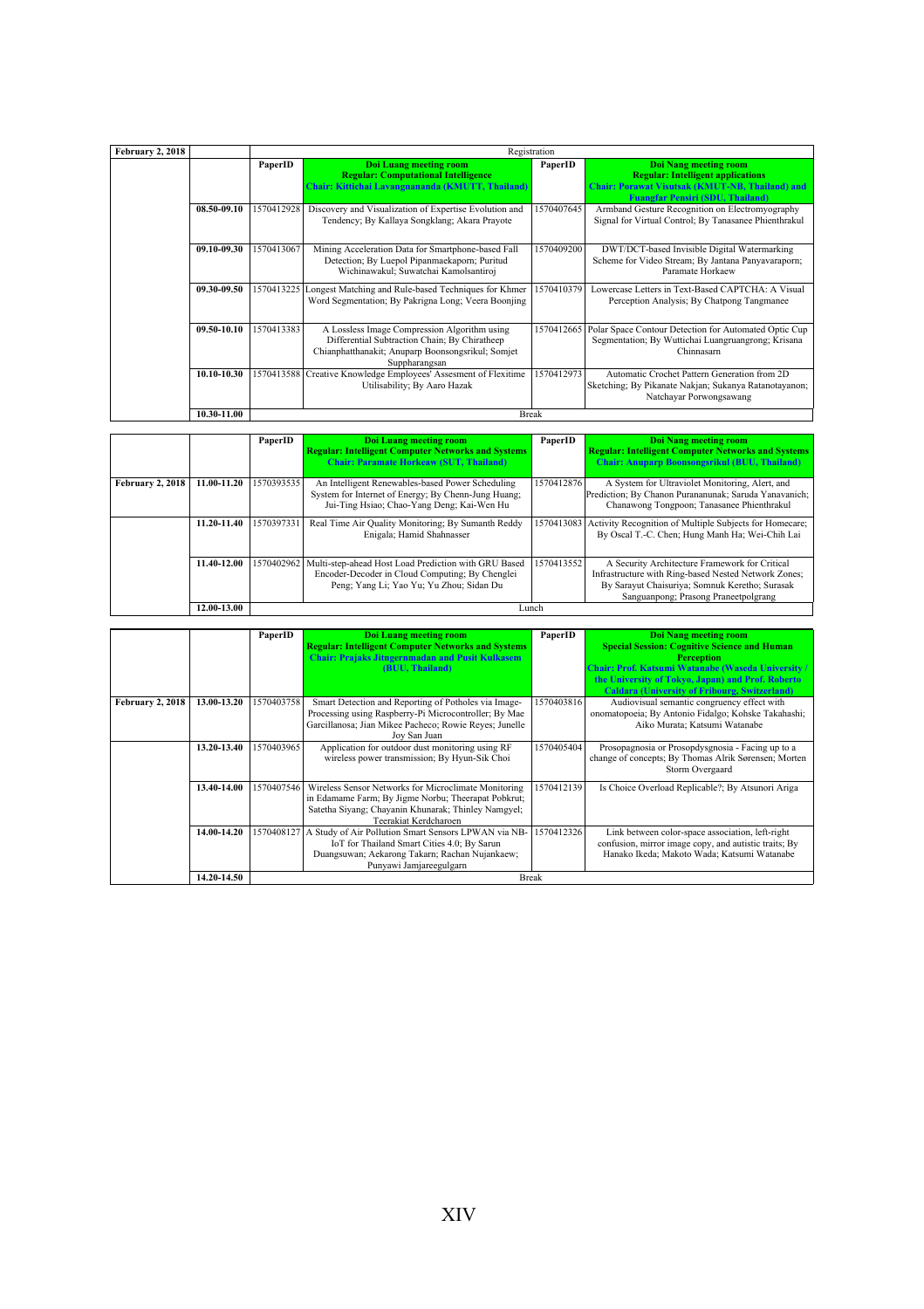| February 2, 2018 |             |            | Registration                                                    |            |                                                       |
|------------------|-------------|------------|-----------------------------------------------------------------|------------|-------------------------------------------------------|
|                  |             |            |                                                                 | PaperID    |                                                       |
|                  |             | PaperID    | <b>Doi Luang meeting room</b>                                   |            | <b>Doi Nang meeting room</b>                          |
|                  |             |            | <b>Regular: Computational Intelligence</b>                      |            | <b>Regular: Intelligent applications</b>              |
|                  |             |            | Chair: Kittichai Lavangnananda (KMUTT, Thailand)                |            | Chair: Porawat Visutsak (KMUT-NB, Thailand) and       |
|                  |             |            |                                                                 |            | <b>Fuangfar Pensiri (SDU, Thailand)</b>               |
|                  | 08.50-09.10 | 1570412928 | Discovery and Visualization of Expertise Evolution and          | 1570407645 | Armband Gesture Recognition on Electromyography       |
|                  |             |            | Tendency; By Kallaya Songklang; Akara Prayote                   |            | Signal for Virtual Control; By Tanasanee Phienthrakul |
|                  |             |            |                                                                 |            |                                                       |
|                  |             |            |                                                                 |            |                                                       |
|                  | 09.10-09.30 | 1570413067 | Mining Acceleration Data for Smartphone-based Fall              | 1570409200 | DWT/DCT-based Invisible Digital Watermarking          |
|                  |             |            | Detection; By Luepol Pipanmaekaporn; Puritud                    |            | Scheme for Video Stream; By Jantana Panyavaraporn;    |
|                  |             |            | Wichinawakul; Suwatchai Kamolsantiroj                           |            | Paramate Horkaew                                      |
|                  | 09.30-09.50 | 1570413225 | Longest Matching and Rule-based Techniques for Khmer            | 1570410379 | Lowercase Letters in Text-Based CAPTCHA: A Visual     |
|                  |             |            | Word Segmentation; By Pakrigna Long; Veera Boonjing             |            | Perception Analysis; By Chatpong Tangmanee            |
|                  |             |            |                                                                 |            |                                                       |
|                  |             |            |                                                                 |            |                                                       |
|                  | 09.50-10.10 | 1570413383 | A Lossless Image Compression Algorithm using                    | 1570412665 | Polar Space Contour Detection for Automated Optic Cup |
|                  |             |            | Differential Subtraction Chain; By Chiratheep                   |            | Segmentation; By Wuttichai Luangruangrong; Krisana    |
|                  |             |            | Chianphatthanakit; Anuparp Boonsongsrikul; Somjet               |            | Chinnasam                                             |
|                  |             |            | Suppharangsan                                                   |            |                                                       |
|                  | 10.10-10.30 |            | 1570413588 Creative Knowledge Employees' Assesment of Flexitime | 1570412973 | Automatic Crochet Pattern Generation from 2D          |
|                  |             |            | Utilisability; By Aaro Hazak                                    |            | Sketching; By Pikanate Nakjan; Sukanya Ratanotayanon; |
|                  |             |            |                                                                 |            | Natchayar Porwongsawang                               |
|                  |             |            |                                                                 |            |                                                       |
|                  | 10.30-11.00 |            | <b>Break</b>                                                    |            |                                                       |

|                         |             | PaperID    | Doi Luang meeting room<br><b>Regular: Intelligent Computer Networks and Systems</b><br><b>Chair: Paramate Horkeaw (SUT, Thailand)</b>                 | PaperID    | Doi Nang meeting room<br><b>Regular: Intelligent Computer Networks and Systems</b><br><b>Chair: Anuparp Boonsongsrikul (BUU, Thailand)</b>                                                       |
|-------------------------|-------------|------------|-------------------------------------------------------------------------------------------------------------------------------------------------------|------------|--------------------------------------------------------------------------------------------------------------------------------------------------------------------------------------------------|
| <b>February 2, 2018</b> | 11.00-11.20 | 1570393535 | An Intelligent Renewables-based Power Scheduling<br>System for Internet of Energy; By Chenn-Jung Huang;<br>Jui-Ting Hsiao; Chao-Yang Deng; Kai-Wen Hu | 1570412876 | A System for Ultraviolet Monitoring, Alert, and<br>Prediction; By Chanon Purananunak; Saruda Yanavanich;<br>Chanawong Tongpoon; Tanasanee Phienthrakul                                           |
|                         | 11.20-11.40 | 1570397331 | Real Time Air Quality Monitoring; By Sumanth Reddy<br>Enigala: Hamid Shahnasser                                                                       | 1570413083 | Activity Recognition of Multiple Subjects for Homecare;<br>By Oscal T.-C. Chen; Hung Manh Ha; Wei-Chih Lai                                                                                       |
|                         | 11.40-12.00 | 1570402962 | Multi-step-ahead Host Load Prediction with GRU Based<br>Encoder-Decoder in Cloud Computing; By Chenglei<br>Peng; Yang Li; Yao Yu; Yu Zhou; Sidan Du   | 1570413552 | A Security Architecture Framework for Critical<br>Infrastructure with Ring-based Nested Network Zones;<br>By Sarayut Chaisuriya; Somnuk Keretho; Surasak<br>Sanguanpong; Prasong Praneetpolgrang |
|                         | 12.00-13.00 |            | Lunch                                                                                                                                                 |            |                                                                                                                                                                                                  |

|                  |             | PaperID    | <b>Doi Luang meeting room</b><br><b>Regular: Intelligent Computer Networks and Systems</b><br><b>Chair: Prajaks Jitngernmadan and Pusit Kulkasem</b><br>(BUU, Thailand)                     | PaperID    | <b>Doi Nang meeting room</b><br><b>Special Session: Cognitive Science and Human</b><br><b>Perception</b><br>Chair: Prof. Katsumi Watanabe (Waseda University /<br>the University of Tokyo, Japan) and Prof. Roberto<br><b>Caldara (University of Fribourg, Switzerland)</b> |  |
|------------------|-------------|------------|---------------------------------------------------------------------------------------------------------------------------------------------------------------------------------------------|------------|-----------------------------------------------------------------------------------------------------------------------------------------------------------------------------------------------------------------------------------------------------------------------------|--|
| February 2, 2018 | 13.00-13.20 | 1570403758 | Smart Detection and Reporting of Potholes via Image-<br>Processing using Raspberry-Pi Microcontroller; By Mae<br>Garcillanosa; Jian Mikee Pacheco; Rowie Reyes; Junelle<br>Joy San Juan     | 1570403816 | Audiovisual semantic congruency effect with<br>onomatopoeia; By Antonio Fidalgo; Kohske Takahashi;<br>Aiko Murata; Katsumi Watanabe                                                                                                                                         |  |
|                  | 13.20-13.40 | 1570403965 | Application for outdoor dust monitoring using RF<br>wireless power transmission; By Hyun-Sik Choi                                                                                           | 1570405404 | Prosopagnosia or Prosopdysgnosia - Facing up to a<br>change of concepts; By Thomas Alrik Sørensen; Morten<br>Storm Overgaard                                                                                                                                                |  |
|                  | 13.40-14.00 | 1570407546 | Wireless Sensor Networks for Microclimate Monitoring<br>in Edamame Farm; By Jigme Norbu; Theerapat Pobkrut;<br>Satetha Siyang; Chayanin Khunarak; Thinley Namgyel;<br>Teerakiat Kerdcharoen | 1570412139 | Is Choice Overload Replicable?; By Atsunori Ariga                                                                                                                                                                                                                           |  |
|                  | 14.00-14.20 | 1570408127 | A Study of Air Pollution Smart Sensors LPWAN via NB-<br>IoT for Thailand Smart Cities 4.0; By Sarun<br>Duangsuwan; Aekarong Takarn; Rachan Nujankaew;<br>Punyawi Jamiareegulgarn            | 1570412326 | Link between color-space association, left-right<br>confusion, mirror image copy, and autistic traits; By<br>Hanako Ikeda: Makoto Wada: Katsumi Watanabe                                                                                                                    |  |
|                  | 14.20-14.50 |            | <b>Break</b>                                                                                                                                                                                |            |                                                                                                                                                                                                                                                                             |  |